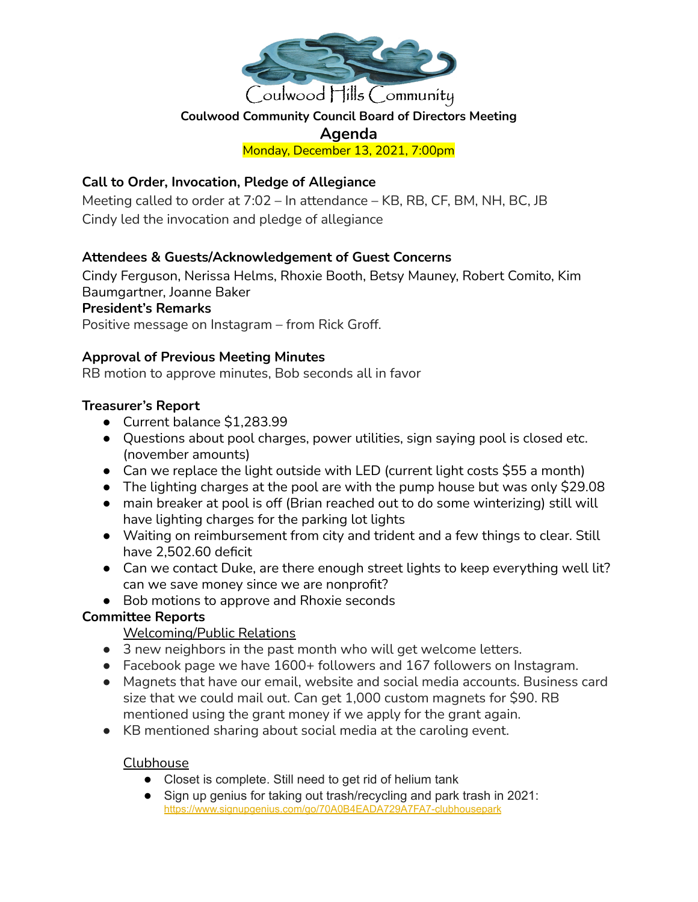

## **Coulwood Community Council Board of Directors Meeting**

# **Agenda**

Monday, December 13, 2021, 7:00pm

## **Call to Order, Invocation, Pledge of Allegiance**

Meeting called to order at 7:02 – In attendance – KB, RB, CF, BM, NH, BC, JB Cindy led the invocation and pledge of allegiance

## **Attendees & Guests/Acknowledgement of Guest Concerns**

Cindy Ferguson, Nerissa Helms, Rhoxie Booth, Betsy Mauney, Robert Comito, Kim Baumgartner, Joanne Baker

#### **President's Remarks**

Positive message on Instagram – from Rick Groff.

## **Approval of Previous Meeting Minutes**

RB motion to approve minutes, Bob seconds all in favor

## **Treasurer's Report**

- Current balance \$1,283.99
- Questions about pool charges, power utilities, sign saying pool is closed etc. (november amounts)
- Can we replace the light outside with LED (current light costs \$55 a month)
- The lighting charges at the pool are with the pump house but was only \$29.08
- main breaker at pool is off (Brian reached out to do some winterizing) still will have lighting charges for the parking lot lights
- Waiting on reimbursement from city and trident and a few things to clear. Still have 2,502.60 deficit
- Can we contact Duke, are there enough street lights to keep everything well lit? can we save money since we are nonprofit?
- Bob motions to approve and Rhoxie seconds

## **Committee Reports**

## Welcoming/Public Relations

- 3 new neighbors in the past month who will get welcome letters.
- Facebook page we have 1600+ followers and 167 followers on Instagram.
- Magnets that have our email, website and social media accounts. Business card size that we could mail out. Can get 1,000 custom magnets for \$90. RB mentioned using the grant money if we apply for the grant again.
- KB mentioned sharing about social media at the caroling event.

#### Clubhouse

- Closet is complete. Still need to get rid of helium tank
- Sign up genius for taking out trash/recycling and park trash in 2021: <https://www.signupgenius.com/go/70A0B4EADA729A7FA7-clubhousepark>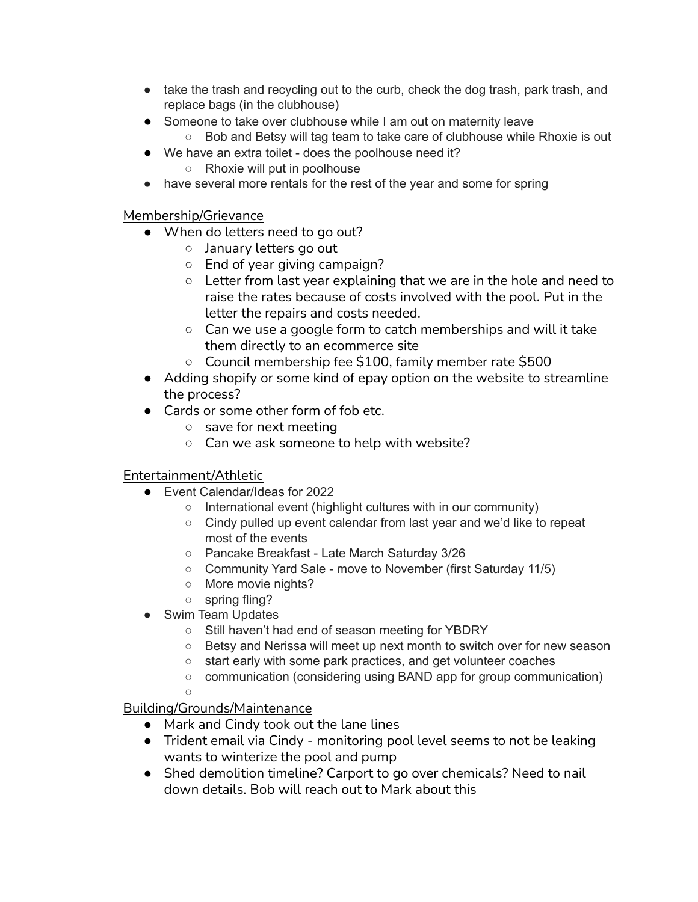- take the trash and recycling out to the curb, check the dog trash, park trash, and replace bags (in the clubhouse)
- Someone to take over clubhouse while I am out on maternity leave
	- Bob and Betsy will tag team to take care of clubhouse while Rhoxie is out
- We have an extra toilet does the poolhouse need it?
	- Rhoxie will put in poolhouse
- have several more rentals for the rest of the year and some for spring

## Membership/Grievance

- When do letters need to go out?
	- January letters go out
	- End of year giving campaign?
	- Letter from last year explaining that we are in the hole and need to raise the rates because of costs involved with the pool. Put in the letter the repairs and costs needed.
	- Can we use a google form to catch memberships and will it take them directly to an ecommerce site
	- Council membership fee \$100, family member rate \$500
- Adding shopify or some kind of epay option on the website to streamline the process?
- Cards or some other form of fob etc.
	- save for next meeting
	- Can we ask someone to help with website?

## Entertainment/Athletic

- Event Calendar/Ideas for 2022
	- International event (highlight cultures with in our community)
	- Cindy pulled up event calendar from last year and we'd like to repeat most of the events
	- Pancake Breakfast Late March Saturday 3/26
	- Community Yard Sale move to November (first Saturday 11/5)
	- More movie nights?
	- spring fling?
- Swim Team Updates
	- Still haven't had end of season meeting for YBDRY
	- Betsy and Nerissa will meet up next month to switch over for new season
	- start early with some park practices, and get volunteer coaches
	- communication (considering using BAND app for group communication)
	- ○

## Building/Grounds/Maintenance

- Mark and Cindy took out the lane lines
- Trident email via Cindy monitoring pool level seems to not be leaking wants to winterize the pool and pump
- Shed demolition timeline? Carport to go over chemicals? Need to nail down details. Bob will reach out to Mark about this